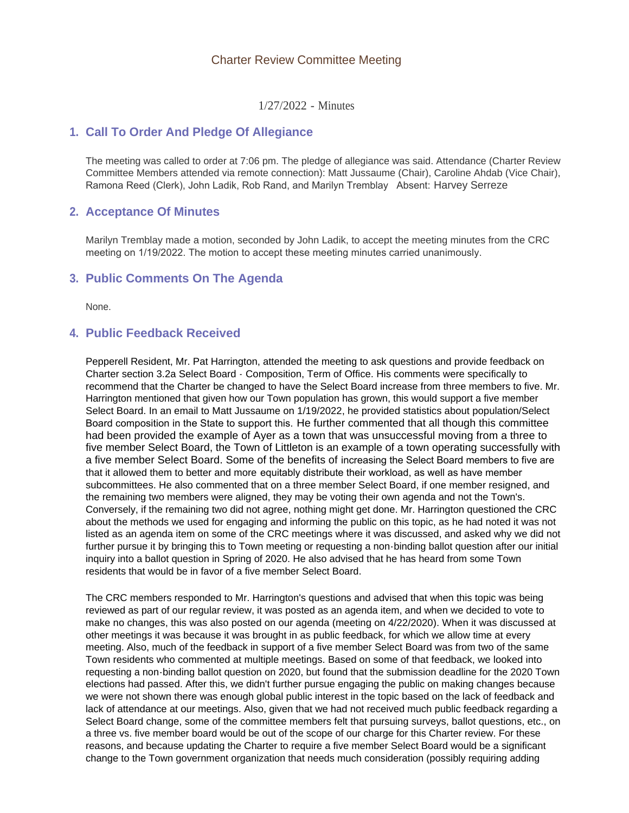## Charter Review Committee Meeting

1/27/2022 - Minutes

### **Call To Order And Pledge Of Allegiance 1.**

The meeting was called to order at 7:06 pm. The pledge of allegiance was said. Attendance (Charter Review Committee Members attended via remote connection): Matt Jussaume (Chair), Caroline Ahdab (Vice Chair), Ramona Reed (Clerk), John Ladik, Rob Rand, and Marilyn Tremblay Absent: Harvey Serreze

## **Acceptance Of Minutes 2.**

Marilyn Tremblay made a motion, seconded by John Ladik, to accept the meeting minutes from the CRC meeting on 1/19/2022. The motion to accept these meeting minutes carried unanimously.

### **Public Comments On The Agenda 3.**

None.

## **Public Feedback Received 4.**

Pepperell Resident, Mr. Pat Harrington, attended the meeting to ask questions and provide feedback on Charter section 3.2a Select Board - Composition, Term of Office. His comments were specifically to recommend that the Charter be changed to have the Select Board increase from three members to five. Mr. Harrington mentioned that given how our Town population has grown, this would support a five member Select Board. In an email to Matt Jussaume on 1/19/2022, he provided statistics about population/Select Board composition in the State to support this. He further commented that all though this committee had been provided the example of Ayer as a town that was unsuccessful moving from a three to five member Select Board, the Town of Littleton is an example of a town operating successfully with a five member Select Board. Some of the benefits of increasing the Select Board members to five are that it allowed them to better and more equitably distribute their workload, as well as have member subcommittees. He also commented that on a three member Select Board, if one member resigned, and the remaining two members were aligned, they may be voting their own agenda and not the Town's. Conversely, if the remaining two did not agree, nothing might get done. Mr. Harrington questioned the CRC about the methods we used for engaging and informing the public on this topic, as he had noted it was not listed as an agenda item on some of the CRC meetings where it was discussed, and asked why we did not further pursue it by bringing this to Town meeting or requesting a non-binding ballot question after our initial inquiry into a ballot question in Spring of 2020. He also advised that he has heard from some Town residents that would be in favor of a five member Select Board.

The CRC members responded to Mr. Harrington's questions and advised that when this topic was being reviewed as part of our regular review, it was posted as an agenda item, and when we decided to vote to make no changes, this was also posted on our agenda (meeting on 4/22/2020). When it was discussed at other meetings it was because it was brought in as public feedback, for which we allow time at every meeting. Also, much of the feedback in support of a five member Select Board was from two of the same Town residents who commented at multiple meetings. Based on some of that feedback, we looked into requesting a non-binding ballot question on 2020, but found that the submission deadline for the 2020 Town elections had passed. After this, we didn't further pursue engaging the public on making changes because we were not shown there was enough global public interest in the topic based on the lack of feedback and lack of attendance at our meetings. Also, given that we had not received much public feedback regarding a Select Board change, some of the committee members felt that pursuing surveys, ballot questions, etc., on a three vs. five member board would be out of the scope of our charge for this Charter review. For these reasons, and because updating the Charter to require a five member Select Board would be a significant change to the Town government organization that needs much consideration (possibly requiring adding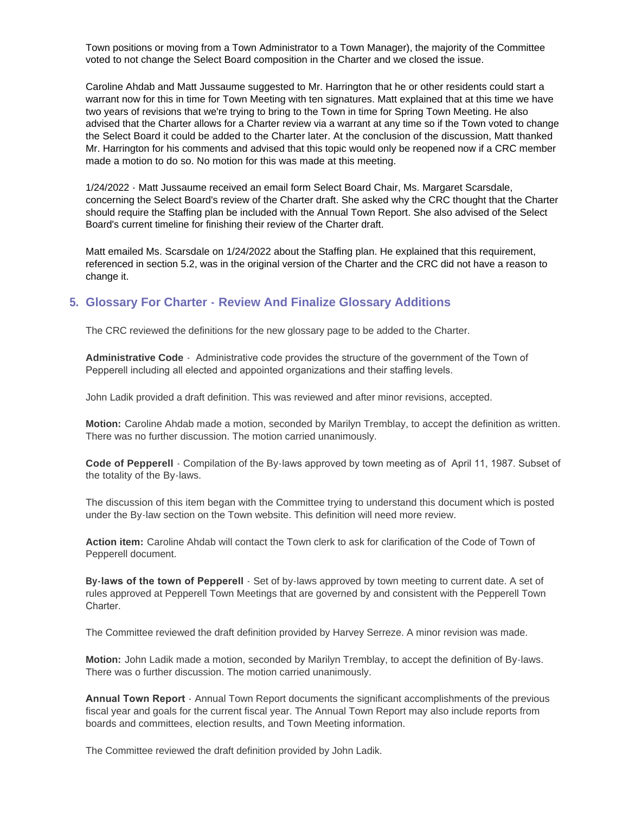Town positions or moving from a Town Administrator to a Town Manager), the majority of the Committee voted to not change the Select Board composition in the Charter and we closed the issue.

Caroline Ahdab and Matt Jussaume suggested to Mr. Harrington that he or other residents could start a warrant now for this in time for Town Meeting with ten signatures. Matt explained that at this time we have two years of revisions that we're trying to bring to the Town in time for Spring Town Meeting. He also advised that the Charter allows for a Charter review via a warrant at any time so if the Town voted to change the Select Board it could be added to the Charter later. At the conclusion of the discussion, Matt thanked Mr. Harrington for his comments and advised that this topic would only be reopened now if a CRC member made a motion to do so. No motion for this was made at this meeting.

1/24/2022 - Matt Jussaume received an email form Select Board Chair, Ms. Margaret Scarsdale, concerning the Select Board's review of the Charter draft. She asked why the CRC thought that the Charter should require the Staffing plan be included with the Annual Town Report. She also advised of the Select Board's current timeline for finishing their review of the Charter draft.

Matt emailed Ms. Scarsdale on 1/24/2022 about the Staffing plan. He explained that this requirement, referenced in section 5.2, was in the original version of the Charter and the CRC did not have a reason to change it.

# **Glossary For Charter - Review And Finalize Glossary Additions 5.**

The CRC reviewed the definitions for the new glossary page to be added to the Charter.

**Administrative Code** - Administrative code provides the structure of the government of the Town of Pepperell including all elected and appointed organizations and their staffing levels.

John Ladik provided a draft definition. This was reviewed and after minor revisions, accepted.

**Motion:** Caroline Ahdab made a motion, seconded by Marilyn Tremblay, to accept the definition as written. There was no further discussion. The motion carried unanimously.

**Code of Pepperell** - Compilation of the By-laws approved by town meeting as of April 11, 1987. Subset of the totality of the By-laws.

The discussion of this item began with the Committee trying to understand this document which is posted under the By-law section on the Town website. This definition will need more review.

**Action item:** Caroline Ahdab will contact the Town clerk to ask for clarification of the Code of Town of Pepperell document.

**By-laws of the town of Pepperell** - Set of by-laws approved by town meeting to current date. A set of rules approved at Pepperell Town Meetings that are governed by and consistent with the Pepperell Town Charter.

The Committee reviewed the draft definition provided by Harvey Serreze. A minor revision was made.

**Motion:** John Ladik made a motion, seconded by Marilyn Tremblay, to accept the definition of By-laws. There was o further discussion. The motion carried unanimously.

**Annual Town Report** - Annual Town Report documents the significant accomplishments of the previous fiscal year and goals for the current fiscal year. The Annual Town Report may also include reports from boards and committees, election results, and Town Meeting information.

The Committee reviewed the draft definition provided by John Ladik.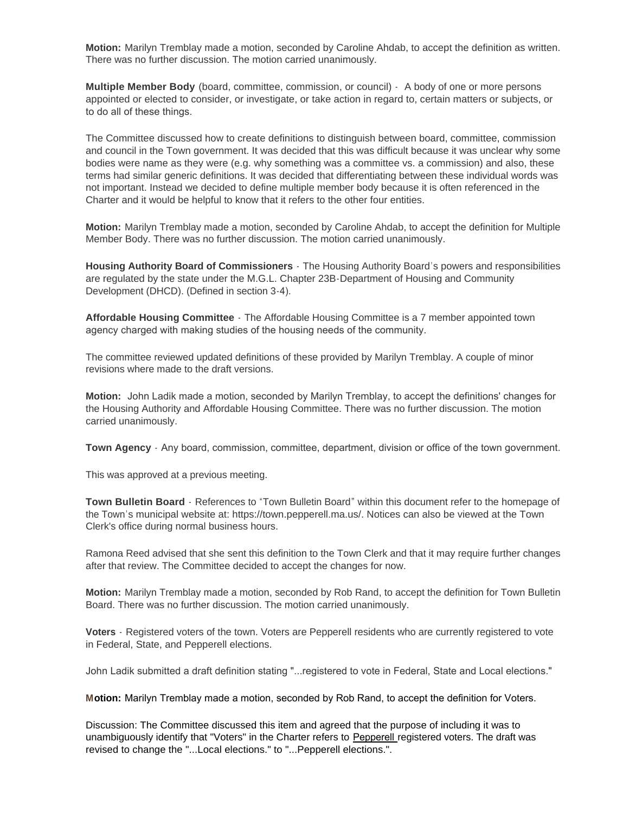**Motion:** Marilyn Tremblay made a motion, seconded by Caroline Ahdab, to accept the definition as written. There was no further discussion. The motion carried unanimously.

**Multiple Member Body** (board, committee, commission, or council) - A body of one or more persons appointed or elected to consider, or investigate, or take action in regard to, certain matters or subjects, or to do all of these things.

The Committee discussed how to create definitions to distinguish between board, committee, commission and council in the Town government. It was decided that this was difficult because it was unclear why some bodies were name as they were (e.g. why something was a committee vs. a commission) and also, these terms had similar generic definitions. It was decided that differentiating between these individual words was not important. Instead we decided to define multiple member body because it is often referenced in the Charter and it would be helpful to know that it refers to the other four entities.

**Motion:** Marilyn Tremblay made a motion, seconded by Caroline Ahdab, to accept the definition for Multiple Member Body. There was no further discussion. The motion carried unanimously.

**Housing Authority Board of Commissioners** - The Housing Authority Board's powers and responsibilities are regulated by the state under the M.G.L. Chapter 23B-Department of Housing and Community Development (DHCD). (Defined in section 3-4).

**Affordable Housing Committee** - The Affordable Housing Committee is a 7 member appointed town agency charged with making studies of the housing needs of the community.

The committee reviewed updated definitions of these provided by Marilyn Tremblay. A couple of minor revisions where made to the draft versions.

**Motion:** John Ladik made a motion, seconded by Marilyn Tremblay, to accept the definitions' changes for the Housing Authority and Affordable Housing Committee. There was no further discussion. The motion carried unanimously.

**Town Agency** - Any board, commission, committee, department, division or office of the town government.

This was approved at a previous meeting.

**Town Bulletin Board** - References to "Town Bulletin Board" within this document refer to the homepage of the Town's municipal website at: https://town.pepperell.ma.us/. Notices can also be viewed at the Town Clerk's office during normal business hours.

Ramona Reed advised that she sent this definition to the Town Clerk and that it may require further changes after that review. The Committee decided to accept the changes for now.

**Motion:** Marilyn Tremblay made a motion, seconded by Rob Rand, to accept the definition for Town Bulletin Board. There was no further discussion. The motion carried unanimously.

**Voters** - Registered voters of the town. Voters are Pepperell residents who are currently registered to vote in Federal, State, and Pepperell elections.

John Ladik submitted a draft definition stating "...registered to vote in Federal, State and Local elections."

**Motion:** Marilyn Tremblay made a motion, seconded by Rob Rand, to accept the definition for Voters.

Discussion: The Committee discussed this item and agreed that the purpose of including it was to unambiguously identify that "Voters" in the Charter refers to Pepperell registered voters. The draft was revised to change the "...Local elections." to "...Pepperell elections.".